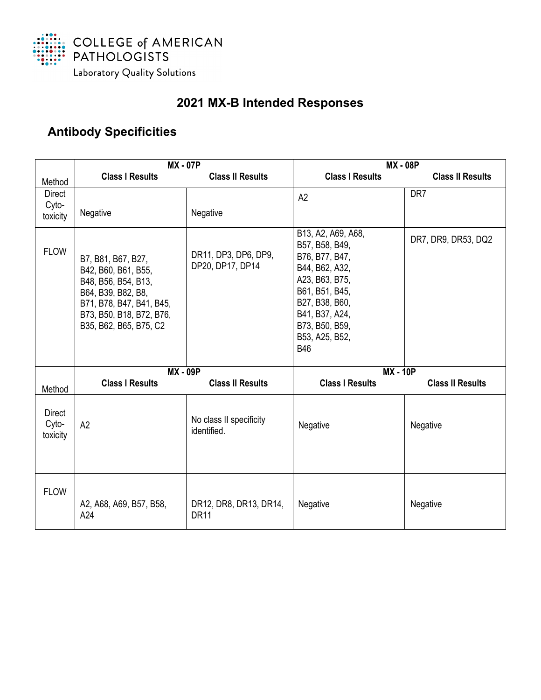

## **2021 MX-B Intended Responses**

## **Antibody Specificities**

|                                    | <b>MX - 07P</b>                                                                                                                                                          |                                          | <b>MX-08P</b>                                                                                                                                                                                      |                         |
|------------------------------------|--------------------------------------------------------------------------------------------------------------------------------------------------------------------------|------------------------------------------|----------------------------------------------------------------------------------------------------------------------------------------------------------------------------------------------------|-------------------------|
| Method                             | <b>Class I Results</b>                                                                                                                                                   | <b>Class II Results</b>                  | <b>Class I Results</b>                                                                                                                                                                             | <b>Class II Results</b> |
| Direct<br>Cyto-<br>toxicity        | Negative                                                                                                                                                                 | Negative                                 | A2                                                                                                                                                                                                 | DR7                     |
| <b>FLOW</b>                        | B7, B81, B67, B27,<br>B42, B60, B61, B55,<br>B48, B56, B54, B13,<br>B64, B39, B82, B8,<br>B71, B78, B47, B41, B45,<br>B73, B50, B18, B72, B76,<br>B35, B62, B65, B75, C2 | DR11, DP3, DP6, DP9,<br>DP20, DP17, DP14 | B13, A2, A69, A68,<br>B57, B58, B49,<br>B76, B77, B47,<br>B44, B62, A32,<br>A23, B63, B75,<br>B61, B51, B45,<br>B27, B38, B60,<br>B41, B37, A24,<br>B73, B50, B59,<br>B53, A25, B52,<br><b>B46</b> | DR7, DR9, DR53, DQ2     |
| Method                             | <b>MX - 09P</b><br><b>Class I Results</b>                                                                                                                                | <b>Class II Results</b>                  | <b>MX - 10P</b><br><b>Class I Results</b>                                                                                                                                                          | <b>Class II Results</b> |
| <b>Direct</b><br>Cyto-<br>toxicity | A2                                                                                                                                                                       | No class II specificity<br>identified.   | Negative                                                                                                                                                                                           | Negative                |
| <b>FLOW</b>                        | A2, A68, A69, B57, B58,<br>A24                                                                                                                                           | DR12, DR8, DR13, DR14,<br><b>DR11</b>    | <b>Negative</b>                                                                                                                                                                                    | Negative                |